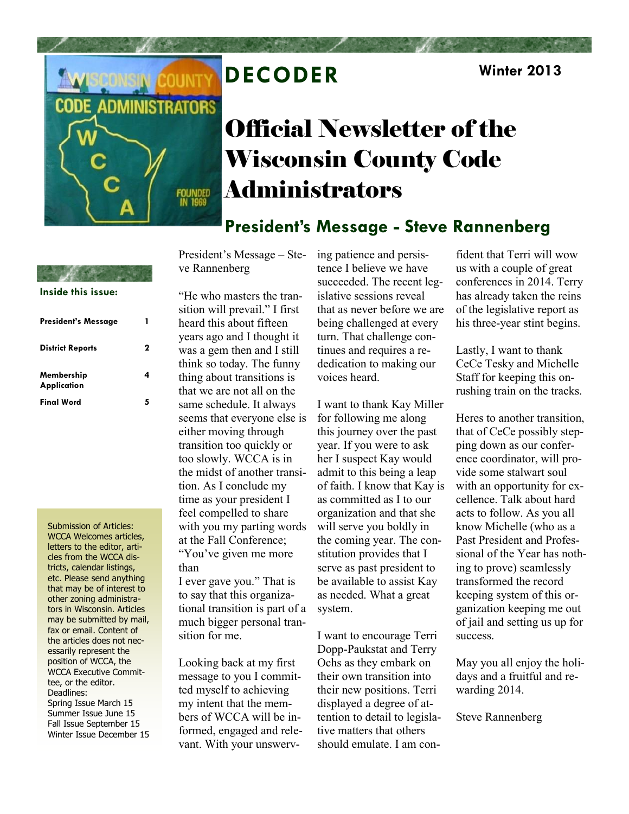

# **DECODER Winter 2013**

# Official Newsletter of the Wisconsin County Code Administrators

### **President's Message - Steve Rannenberg**

President's Message – Steve Rannenberg

**Inside this issue:**

| President's Message              |   |
|----------------------------------|---|
| <b>District Reports</b>          | 2 |
| Membership<br><b>Application</b> | Δ |
| <b>Final Word</b>                | 5 |

Submission of Articles: WCCA Welcomes articles, letters to the editor, articles from the WCCA districts, calendar listings, etc. Please send anything that may be of interest to other zoning administrators in Wisconsin. Articles may be submitted by mail, fax or email. Content of the articles does not necessarily represent the position of WCCA, the WCCA Executive Committee, or the editor. Deadlines: Spring Issue March 15 Summer Issue June 15 Fall Issue September 15 Winter Issue December 15 "He who masters the transition will prevail." I first heard this about fifteen years ago and I thought it was a gem then and I still think so today. The funny thing about transitions is that we are not all on the same schedule. It always seems that everyone else is either moving through transition too quickly or too slowly. WCCA is in the midst of another transition. As I conclude my time as your president I feel compelled to share with you my parting words at the Fall Conference; "You've given me more than

I ever gave you." That is to say that this organizational transition is part of a much bigger personal transition for me.

Looking back at my first message to you I committed myself to achieving my intent that the members of WCCA will be informed, engaged and relevant. With your unswerving patience and persistence I believe we have succeeded. The recent legislative sessions reveal that as never before we are being challenged at every turn. That challenge continues and requires a rededication to making our voices heard.

I want to thank Kay Miller for following me along this journey over the past year. If you were to ask her I suspect Kay would admit to this being a leap of faith. I know that Kay is as committed as I to our organization and that she will serve you boldly in the coming year. The constitution provides that I serve as past president to be available to assist Kay as needed. What a great system.

I want to encourage Terri Dopp-Paukstat and Terry Ochs as they embark on their own transition into their new positions. Terri displayed a degree of attention to detail to legislative matters that others should emulate. I am confident that Terri will wow us with a couple of great conferences in 2014. Terry has already taken the reins of the legislative report as his three-year stint begins.

Lastly, I want to thank CeCe Tesky and Michelle Staff for keeping this onrushing train on the tracks.

Heres to another transition, that of CeCe possibly stepping down as our conference coordinator, will provide some stalwart soul with an opportunity for excellence. Talk about hard acts to follow. As you all know Michelle (who as a Past President and Professional of the Year has nothing to prove) seamlessly transformed the record keeping system of this organization keeping me out of jail and setting us up for success.

May you all enjoy the holidays and a fruitful and rewarding 2014.

Steve Rannenberg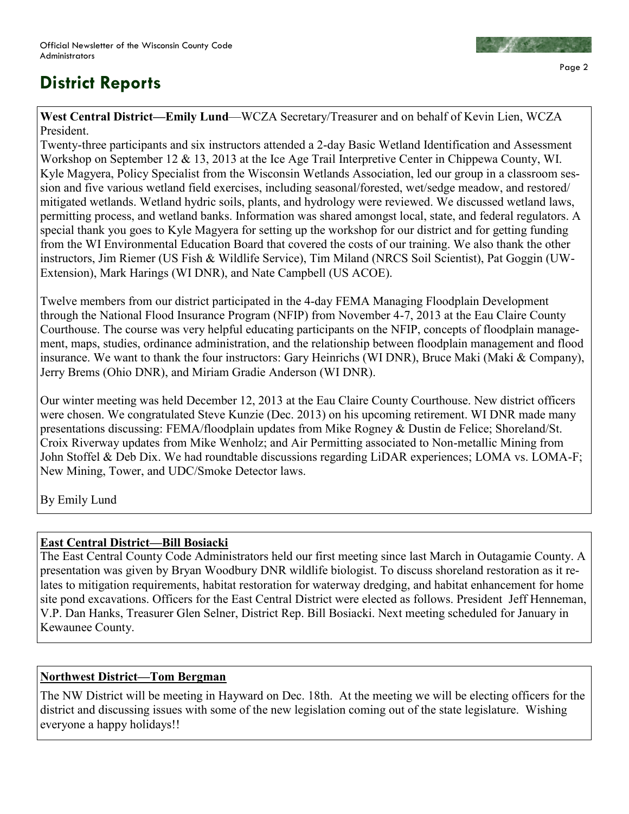### **District Reports**



**West Central District—Emily Lund**—WCZA Secretary/Treasurer and on behalf of Kevin Lien, WCZA President.

Twenty-three participants and six instructors attended a 2-day Basic Wetland Identification and Assessment Workshop on September 12 & 13, 2013 at the Ice Age Trail Interpretive Center in Chippewa County, WI. Kyle Magyera, Policy Specialist from the Wisconsin Wetlands Association, led our group in a classroom session and five various wetland field exercises, including seasonal/forested, wet/sedge meadow, and restored/ mitigated wetlands. Wetland hydric soils, plants, and hydrology were reviewed. We discussed wetland laws, permitting process, and wetland banks. Information was shared amongst local, state, and federal regulators. A special thank you goes to Kyle Magyera for setting up the workshop for our district and for getting funding from the WI Environmental Education Board that covered the costs of our training. We also thank the other instructors, Jim Riemer (US Fish & Wildlife Service), Tim Miland (NRCS Soil Scientist), Pat Goggin (UW-Extension), Mark Harings (WI DNR), and Nate Campbell (US ACOE).

Twelve members from our district participated in the 4-day FEMA Managing Floodplain Development through the National Flood Insurance Program (NFIP) from November 4-7, 2013 at the Eau Claire County Courthouse. The course was very helpful educating participants on the NFIP, concepts of floodplain management, maps, studies, ordinance administration, and the relationship between floodplain management and flood insurance. We want to thank the four instructors: Gary Heinrichs (WI DNR), Bruce Maki (Maki & Company), Jerry Brems (Ohio DNR), and Miriam Gradie Anderson (WI DNR).

Our winter meeting was held December 12, 2013 at the Eau Claire County Courthouse. New district officers were chosen. We congratulated Steve Kunzie (Dec. 2013) on his upcoming retirement. WI DNR made many presentations discussing: FEMA/floodplain updates from Mike Rogney & Dustin de Felice; Shoreland/St. Croix Riverway updates from Mike Wenholz; and Air Permitting associated to Non-metallic Mining from John Stoffel & Deb Dix. We had roundtable discussions regarding LiDAR experiences; LOMA vs. LOMA-F; New Mining, Tower, and UDC/Smoke Detector laws.

By Emily Lund

#### **East Central District—Bill Bosiacki**

The East Central County Code Administrators held our first meeting since last March in Outagamie County. A presentation was given by Bryan Woodbury DNR wildlife biologist. To discuss shoreland restoration as it relates to mitigation requirements, habitat restoration for waterway dredging, and habitat enhancement for home site pond excavations. Officers for the East Central District were elected as follows. President Jeff Henneman, V.P. Dan Hanks, Treasurer Glen Selner, District Rep. Bill Bosiacki. Next meeting scheduled for January in Kewaunee County.

### **Northwest District—Tom Bergman**

The NW District will be meeting in Hayward on Dec. 18th. At the meeting we will be electing officers for the district and discussing issues with some of the new legislation coming out of the state legislature. Wishing everyone a happy holidays!!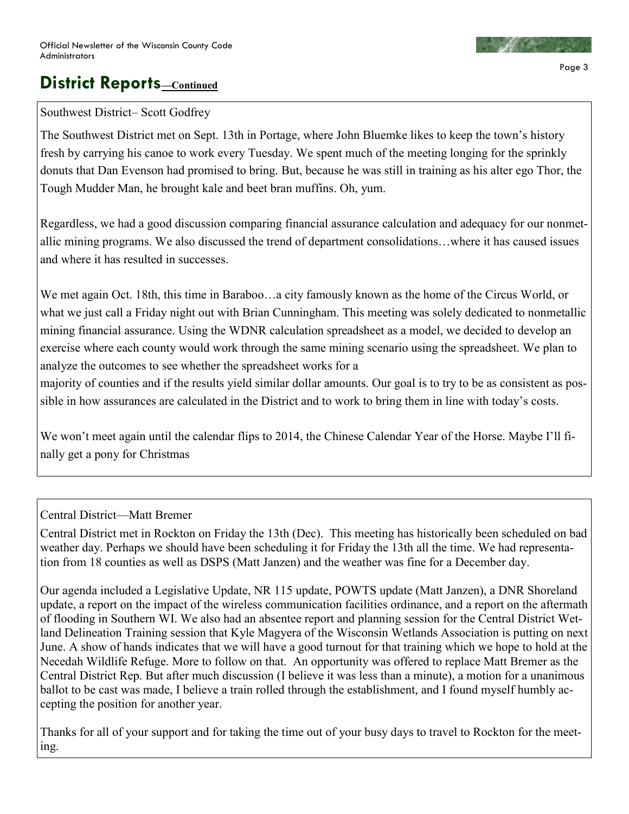### **District Reports \_\_**Continued

#### Southwest District– Scott Godfrey

The Southwest District met on Sept. 13th in Portage, where John Bluemke likes to keep the town's history fresh by carrying his canoe to work every Tuesday. We spent much of the meeting longing for the sprinkly donuts that Dan Evenson had promised to bring. But, because he was still in training as his alter ego Thor, the Tough Mudder Man, he brought kale and beet bran muffins. Oh, yum.

Regardless, we had a good discussion comparing financial assurance calculation and adequacy for our nonmetallic mining programs. We also discussed the trend of department consolidations…where it has caused issues and where it has resulted in successes.

We met again Oct. 18th, this time in Baraboo…a city famously known as the home of the Circus World, or what we just call a Friday night out with Brian Cunningham. This meeting was solely dedicated to nonmetallic mining financial assurance. Using the WDNR calculation spreadsheet as a model, we decided to develop an exercise where each county would work through the same mining scenario using the spreadsheet. We plan to analyze the outcomes to see whether the spreadsheet works for a

majority of counties and if the results yield similar dollar amounts. Our goal is to try to be as consistent as possible in how assurances are calculated in the District and to work to bring them in line with today's costs.

We won't meet again until the calendar flips to 2014, the Chinese Calendar Year of the Horse. Maybe I'll finally get a pony for Christmas

### Central District—Matt Bremer

Central District met in Rockton on Friday the 13th (Dec). This meeting has historically been scheduled on bad weather day. Perhaps we should have been scheduling it for Friday the 13th all the time. We had representation from 18 counties as well as DSPS (Matt Janzen) and the weather was fine for a December day.

Our agenda included a Legislative Update, NR 115 update, POWTS update (Matt Janzen), a DNR Shoreland update, a report on the impact of the wireless communication facilities ordinance, and a report on the aftermath of flooding in Southern WI. We also had an absentee report and planning session for the Central District Wetland Delineation Training session that Kyle Magyera of the Wisconsin Wetlands Association is putting on next June. A show of hands indicates that we will have a good turnout for that training which we hope to hold at the Necedah Wildlife Refuge. More to follow on that. An opportunity was offered to replace Matt Bremer as the Central District Rep. But after much discussion (I believe it was less than a minute), a motion for a unanimous ballot to be cast was made, I believe a train rolled through the establishment, and I found myself humbly accepting the position for another year.

Thanks for all of your support and for taking the time out of your busy days to travel to Rockton for the meeting.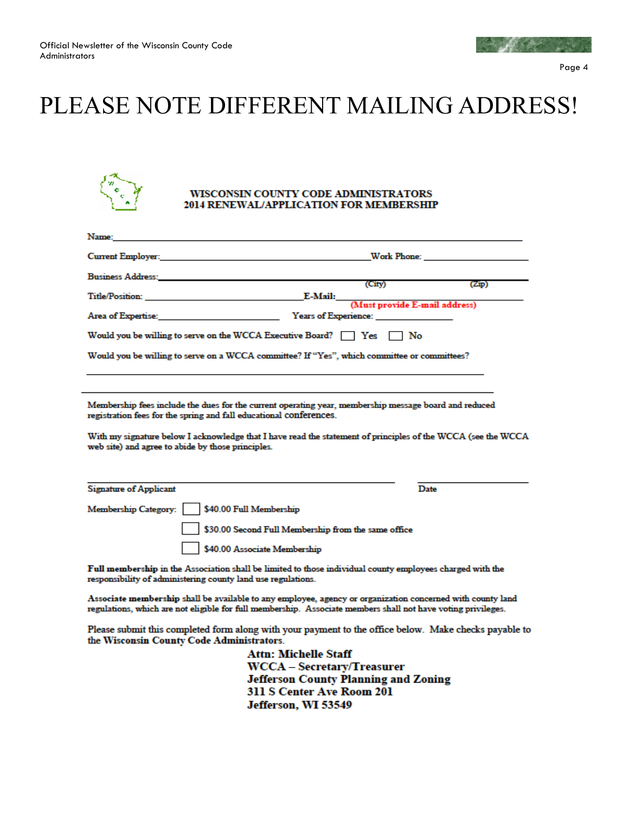

# PLEASE NOTE DIFFERENT MAILING ADDRESS!



#### WISCONSIN COUNTY CODE ADMINISTRATORS 2014 RENEWAL/APPLICATION FOR MEMBERSHIP

| Name:                                                                                                                                                                                                                                                                                                                                            |                                                     |                                       |
|--------------------------------------------------------------------------------------------------------------------------------------------------------------------------------------------------------------------------------------------------------------------------------------------------------------------------------------------------|-----------------------------------------------------|---------------------------------------|
| Current Employer: and the contract of the contract of the contract of the contract of the contract of the contract of the contract of the contract of the contract of the contract of the contract of the contract of the cont                                                                                                                   |                                                     |                                       |
| Business Address: National Accounts and the contract of the contract of the contract of the contract of the contract of the contract of the contract of the contract of the contract of the contract of the contract of the co                                                                                                                   | (City)                                              | (Zip)                                 |
|                                                                                                                                                                                                                                                                                                                                                  |                                                     | E-Mail: (Must provide E-mail address) |
| Area of Expertise: The Contract of Experience:                                                                                                                                                                                                                                                                                                   |                                                     |                                       |
| Would you be willing to serve on the WCCA Executive Board? $\Box$ Yes $\Box$ No                                                                                                                                                                                                                                                                  |                                                     |                                       |
| Would you be willing to serve on a WCCA committee? If "Yes", which committee or committees?                                                                                                                                                                                                                                                      |                                                     |                                       |
|                                                                                                                                                                                                                                                                                                                                                  |                                                     |                                       |
| Membership fees include the dues for the current operating year, membership message board and reduced<br>registration fees for the spring and fall educational conferences.<br>With my signature below I acknowledge that I have read the statement of principles of the WCCA (see the WCCA<br>web site) and agree to abide by those principles. |                                                     |                                       |
|                                                                                                                                                                                                                                                                                                                                                  |                                                     |                                       |
| <b>Signature of Applicant</b>                                                                                                                                                                                                                                                                                                                    |                                                     | Date                                  |
| \$40.00 Full Membership<br>Membership Category:                                                                                                                                                                                                                                                                                                  |                                                     |                                       |
|                                                                                                                                                                                                                                                                                                                                                  | \$30.00 Second Full Membership from the same office |                                       |
| \$40.00 Associate Membership                                                                                                                                                                                                                                                                                                                     |                                                     |                                       |

Full membership in the Association shall be limited to those individual county employees charged with the responsibility of administering county land use regulations.

Associate membership shall be available to any employee, agency or organization concerned with county land regulations, which are not eligible for full membership. Associate members shall not have voting privileges.

Please submit this completed form along with your payment to the office below. Make checks payable to the Wisconsin County Code Administrators.

> **Attn: Michelle Staff WCCA** - Secretary/Treasurer **Jefferson County Planning and Zoning** 311 S Center Ave Room 201 Jefferson, WI 53549